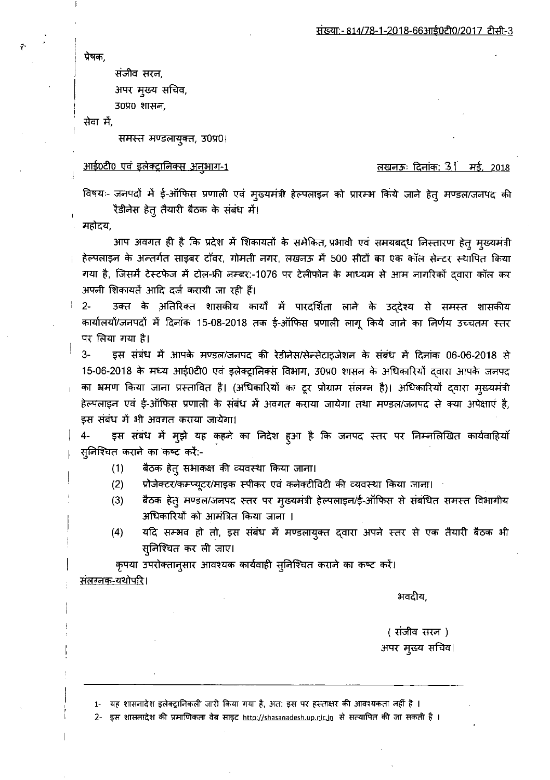प्रेषक.

संजीव सरन, अपर मुख्य सचिव,

3090 शासन,

सेवा में,

समस्त मण्डलायुक्त, 30प्र0।

<u>आई0टी0 एवं इलेक्ट्रानिक्स अनुभाग-1</u>

## <u>लखनऊः दिनांक: 31 मई, 2018</u>

विषयः- जनपदों में ई-ऑफिस प्रणाली एवं मुख्यमंत्री हेल्पलाइन को प्रारम्भ किये जाने हेत् मण्डल/जनपद की रैडीनेस हेतू तैयारी बैठक के संबंध में।

महोदय,

आप अवगत ही है कि प्रदेश में शिकायतों के समेकित, प्रभावी एवं समयबद्ध निस्तारण हेत् मुख्यमंत्री हेल्पलाइन के अन्तर्गत साइबर टॉवर, गोमती नगर, लखनऊ में 500 सीटों का एक कॉल सेन्टर स्थापित किया गया है, जिसमें टेस्टफेज में टोल-फ्री नम्बर:-1076 पर टेलीफोन के माध्यम से आम नागरिकों दवारा कॉल कर अपनी शिकायतें आदि दर्ज करायी जा रही हैं।

उक्त के अतिरिक्त शासकीय कार्यों में पारदर्शिता लाने के उद्देश्य से समस्त शासकीय  $2 -$ कार्यालयों/जनपदों में दिनांक 15-08-2018 तक ई-ऑफिस प्रणाली लागू किये जाने का निर्णय उच्चतम स्तर पर लिया गया है।

 $3-$ इस संबंध में आपके मण्डल/जनपद की रेडीनेस/सेन्सेटाइजेशन के संबंध में दिनांक 06-06-2018 से 15-06-2018 के मध्य आई0टी0 एवं इलेक्ट्रानिक्स विभाग, 30प्र0 शासन के अधिकारियों दवारा आपके जनपद का भ्रमण किया जाना प्रस्तावित है। (अधिकारियों का टूर प्रोग्राम संलग्न है)। अधिकारियों दवारा मुख्यमंत्री हेल्पलाइन एवं ई-ऑफिस प्रणाली के संबंध में अवगत कराया जायेगा तथा मण्डल/जनपद से क्या अपेक्षाएं है, इस संबंध में भी अवगत कराया जायेगा।

इस संबंध में मुझे यह कहने का निदेश हुआ है कि जनपद स्तर पर निम्नलिखित कार्यवाहियाँ 4-स्निश्चित कराने का कष्ट करें:-

- बैठक हेत् सभाकक्ष की व्यवस्था किया जाना।  $(1)$
- $(2)$ प्रोजेक्टर/कम्प्यूटर/माइक स्पीकर एवं कनेक्टीविटी की व्यवस्था किया जाना।
- बैठक हेतु मण्डल/जनपद स्तर पर मुख्यमंत्री हेल्पलाइन/ई-ऑफिस से संबंधित समस्त विभागीय  $(3)$ अधिकारियों को आमंत्रित किया जाना ।
- $(4)$ यदि सम्भव हो तो, इस संबंध में मण्डलायुक्त द्वारा अपने स्तर से एक तैयारी बैठक भी सुनिश्चित कर ली जाए।

कृपया उपरोक्तानुसार आवश्यक कार्यवाही सुनिश्चित कराने का कष्ट करें।

<u>संतरनक-यथोपरि।</u>

भवदीय,

( संजीव सरन ) अपर मुख्य सचिव।

1- यह शासनादेश इलेक्ट्रानिकली जारी किया गया है, अत: इस पर हस्ताक्षर की आवश्यकता नहीं है ।

2- इस शासनादेश की प्रमाणिकता वेब साइट <u>http://shasanadesh.up.nic.in</u> से सत्यापित की जा सकती है ।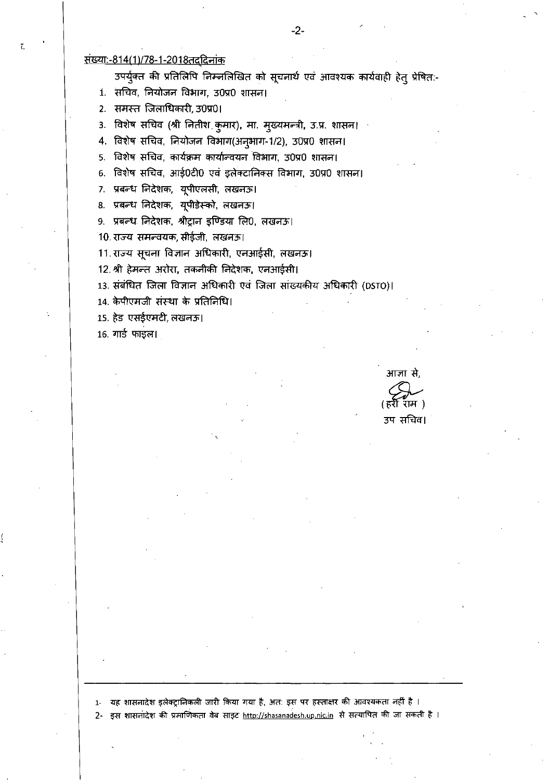## <u> संख्या:-814(1)/78-1-2018तददिनांक</u>

उपर्युक्त की प्रतिलिपि निम्नलिखित को सूचनार्थ एवं आवश्यक कार्यवाही हेत् प्रेषित:-

1. सचिव, नियोजन विभाग, उ0प्र0 शासन।

2. समस्त जिलाधिकारी, 30प्र01

3. विशेष सचिव (श्री नितीश कुमार), मा. मुख्यमन्त्री, उ.प्र. शासन।

4. विशेष सचिव, नियोजन विभाग(अनुभाग-1/2), 30प्र0 शासन।

5. विशेष सचिव, कार्यक्रम कार्यान्वयन विभाग, 30प्र0 शासन।

6. विशेष सचिव, आई0टी0 एवं इलेक्टानिक्स विभाग, उ0प्र0 शासन।

7. प्रबन्ध निदेशक, यूपीएलसी, लखनऊ।

8. प्रबन्ध निदेशक, यूपीडेस्को, लखनऊ।

9. प्रबन्ध निदेशक, श्रीट्रान इण्डिया लि0, लखनऊ।

10. राज्य समन्वयक, सीईजी, लखनऊ।

11. राज्य सूचना विज्ञान अधिकारी, एनआईसी, लखनऊ।

12. श्री हेमन्त अरोरा, तकनीकी निदेशक, एनआईसी।

13. संबंधित जिला विज्ञान अधिकारी एवं जिला सांख्यकीय अधिकारी (DSTO)।

14. केपीएमजी संस्था के प्रतिनिधि।

15. हेड एसईएमटी, लखनऊ।

 $16.$  गार्ड फाइल।

आज्ञा से, उप सचिव।

1- यह शासनादेश इलेक्ट्रानिकली जारी किया गया है, अत: इस पर हस्ताक्षर की आवश्यकता नहीं है । 2- इस शासनादेश की प्रभाणिकता वेब साइट http://shasanadesh.up.nic.in से सत्यापित की जा सकती है।